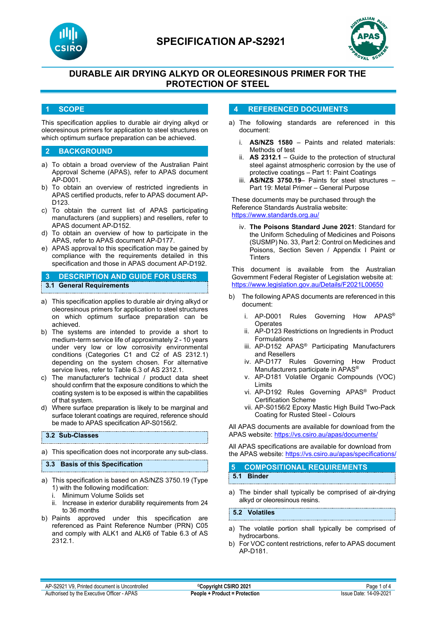



# **DURABLE AIR DRYING ALKYD OR OLEORESINOUS PRIMER FOR THE PROTECTION OF STEEL**

### **1 SCOPE**

This specification applies to durable air drying alkyd or oleoresinous primers for application to steel structures on which optimum surface preparation can be achieved.

### **2 BACKGROUND**

- a) To obtain a broad overview of the Australian Paint Approval Scheme (APAS), refer to APAS document AP-D001.
- b) To obtain an overview of restricted ingredients in APAS certified products, refer to APAS document AP-D123.
- c) To obtain the current list of APAS participating manufacturers (and suppliers) and resellers, refer to APAS document AP-D152.
- d) To obtain an overview of how to participate in the APAS, refer to APAS document AP-D177.
- e) APAS approval to this specification may be gained by compliance with the requirements detailed in this specification and those in APAS document AP-D192.

### **3 DESCRIPTION AND GUIDE FOR USERS 3.1 General Requirements**

- a) This specification applies to durable air drying alkyd or oleoresinous primers for application to steel structures on which optimum surface preparation can be achieved.
- b) The systems are intended to provide a short to medium-term service life of approximately 2 - 10 years under very low or low corrosivity environmental conditions (Categories C1 and C2 of AS 2312.1) depending on the system chosen. For alternative service lives, refer to Table 6.3 of AS 2312.1.
- c) The manufacturer's technical / product data sheet should confirm that the exposure conditions to which the coating system is to be exposed is within the capabilities of that system.
- d) Where surface preparation is likely to be marginal and surface tolerant coatings are required, reference should be made to APAS specification AP-S0156/2.

#### **3.2 Sub-Classes**

a) This specification does not incorporate any sub-class.

#### **3.3 Basis of this Specification**

- a) This specification is based on AS/NZS 3750.19 (Type 1) with the following modification:
	- i. Minimum Volume Solids set
	- ii. Increase in exterior durability requirements from 24 to 36 months
- b) Paints approved under this specification are referenced as Paint Reference Number (PRN) C05 and comply with ALK1 and ALK6 of Table 6.3 of AS 2312.1.

#### **4 REFERENCED DOCUMENTS**

- a) The following standards are referenced in this document:
	- i. **AS/NZS 1580** Paints and related materials: Methods of test
	- ii. **AS 2312.1** Guide to the protection of structural steel against atmospheric corrosion by the use of protective coatings – Part 1: Paint Coatings
	- iii. **AS/NZS 3750.19** Paints for steel structures Part 19: Metal Primer – General Purpose

These documents may be purchased through the Reference Standards Australia website: <https://www.standards.org.au/>

iv. **The Poisons Standard June 2021**: Standard for the Uniform Scheduling of Medicines and Poisons (SUSMP) No. 33, Part 2: Control on Medicines and Poisons, Section Seven / Appendix I Paint or **Tinters** 

This document is available from the Australian Government Federal Register of Legislation website at: <https://www.legislation.gov.au/Details/F2021L00650>

- b) The following APAS documents are referenced in this document:
	- i. AP-D001 Rules Governing How APAS® **Operates**
	- ii. AP-D123 Restrictions on Ingredients in Product Formulations
	- iii. AP-D152 APAS® Participating Manufacturers and Resellers
	- iv. AP-D177 Rules Governing How Product Manufacturers participate in APAS®
	- v. AP-D181 Volatile Organic Compounds (VOC) Limits
	- vi. AP-D192 Rules Governing APAS® Product Certification Scheme
	- vii. AP-S0156/2 Epoxy Mastic High Build Two-Pack Coating for Rusted Steel - Colours

All APAS documents are available for download from the APAS website: <https://vs.csiro.au/apas/documents/>

All APAS specifications are available for download from the APAS website: <https://vs.csiro.au/apas/specifications/>

| <b>5 COMPOSITIONAL REQUIREMENTS</b> |  |
|-------------------------------------|--|
| 5.1 Binder                          |  |

a) The binder shall typically be comprised of air-drying alkyd or oleoresinous resins.

**5.2 Volatiles**

- a) The volatile portion shall typically be comprised of hydrocarbons.
- b) For VOC content restrictions, refer to APAS document AP-D181.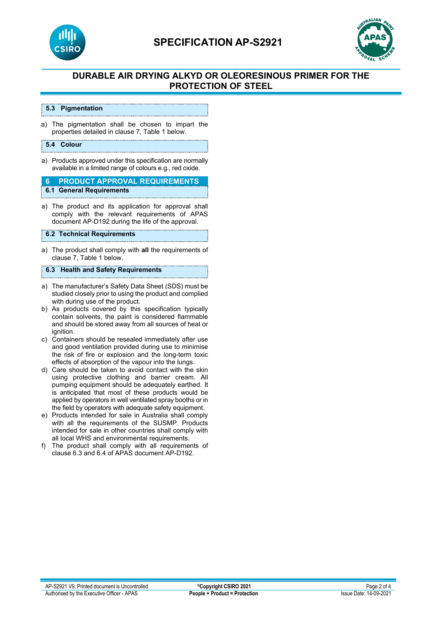

# **SPECIFICATION AP-S2921**



# **DURABLE AIR DRYING ALKYD OR OLEORESINOUS PRIMER FOR THE PROTECTION OF STEEL**

#### **5.3 Pigmentation**

a) The pigmentation shall be chosen to impart the properties detailed in clause 7, Table 1 below.

#### **5.4 Colour**

a) Products approved under this specification are normally available in a limited range of colours e.g., red oxide.

**6 PRODUCT APPROVAL REQUIREMENTS 6.1 General Requirements**

a) The product and its application for approval shall comply with the relevant requirements of APAS document AP-D192 during the life of the approval.

#### **6.2 Technical Requirements**

a) The product shall comply with **all** the requirements of clause 7, Table 1 below.

### **6.3 Health and Safety Requirements**

- a) The manufacturer's Safety Data Sheet (SDS) must be studied closely prior to using the product and complied with during use of the product.
- b) As products covered by this specification typically contain solvents, the paint is considered flammable and should be stored away from all sources of heat or ignition.
- c) Containers should be resealed immediately after use and good ventilation provided during use to minimise the risk of fire or explosion and the long-term toxic effects of absorption of the vapour into the lungs.
- d) Care should be taken to avoid contact with the skin using protective clothing and barrier cream. All pumping equipment should be adequately earthed. It is anticipated that most of these products would be applied by operators in well ventilated spray booths or in the field by operators with adequate safety equipment.
- e) Products intended for sale in Australia shall comply with all the requirements of the SUSMP. Products intended for sale in other countries shall comply with all local WHS and environmental requirements.
- f) The product shall comply with all requirements of clause 6.3 and 6.4 of APAS document AP-D192.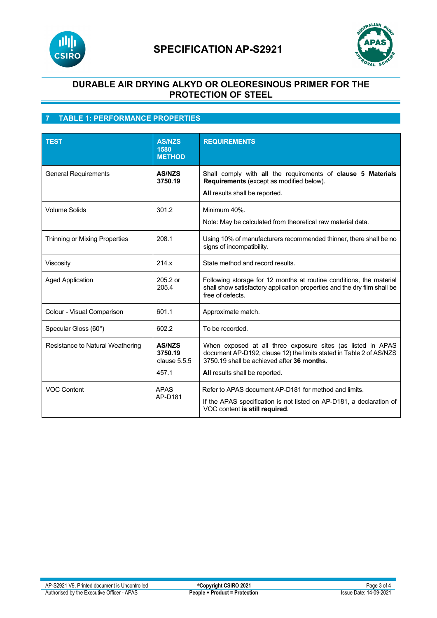



# **DURABLE AIR DRYING ALKYD OR OLEORESINOUS PRIMER FOR THE PROTECTION OF STEEL**

# **7 TABLE 1: PERFORMANCE PROPERTIES**

| <b>TEST</b>                      | <b>AS/NZS</b><br>1580<br><b>METHOD</b>   | <b>REQUIREMENTS</b>                                                                                                                                                              |
|----------------------------------|------------------------------------------|----------------------------------------------------------------------------------------------------------------------------------------------------------------------------------|
| <b>General Requirements</b>      | <b>AS/NZS</b><br>3750.19                 | Shall comply with all the requirements of clause 5 Materials<br>Requirements (except as modified below).<br>All results shall be reported.                                       |
| <b>Volume Solids</b>             | 301.2                                    | Minimum 40%<br>Note: May be calculated from theoretical raw material data.                                                                                                       |
| Thinning or Mixing Properties    | 208.1                                    | Using 10% of manufacturers recommended thinner, there shall be no<br>signs of incompatibility.                                                                                   |
| Viscosity                        | 214.x                                    | State method and record results.                                                                                                                                                 |
| <b>Aged Application</b>          | 205.2 or<br>205.4                        | Following storage for 12 months at routine conditions, the material<br>shall show satisfactory application properties and the dry film shall be<br>free of defects.              |
| Colour - Visual Comparison       | 601.1                                    | Approximate match.                                                                                                                                                               |
| Specular Gloss (60°)             | 602.2                                    | To be recorded.                                                                                                                                                                  |
| Resistance to Natural Weathering | <b>AS/NZS</b><br>3750.19<br>clause 5.5.5 | When exposed at all three exposure sites (as listed in APAS<br>document AP-D192, clause 12) the limits stated in Table 2 of AS/NZS<br>3750.19 shall be achieved after 36 months. |
|                                  | 457.1                                    | All results shall be reported.                                                                                                                                                   |
| <b>VOC Content</b>               | <b>APAS</b><br>AP-D181                   | Refer to APAS document AP-D181 for method and limits.<br>If the APAS specification is not listed on AP-D181, a declaration of<br>VOC content is still required.                  |